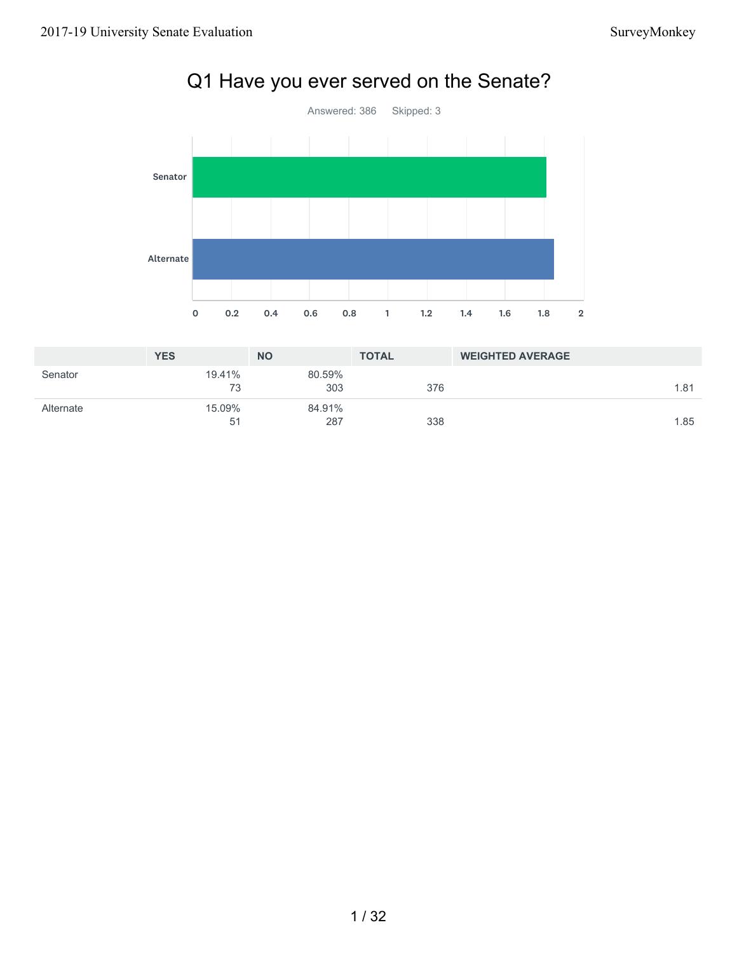

# Q1 Have you ever served on the Senate?

|           | <b>YES</b>   | <b>NO</b>     | <b>TOTAL</b> | <b>WEIGHTED AVERAGE</b> |
|-----------|--------------|---------------|--------------|-------------------------|
| Senator   | 19.41%<br>73 | 80.59%<br>303 | 376          | 1.81                    |
| Alternate | 15.09%<br>51 | 84.91%<br>287 | 338          | 1.85                    |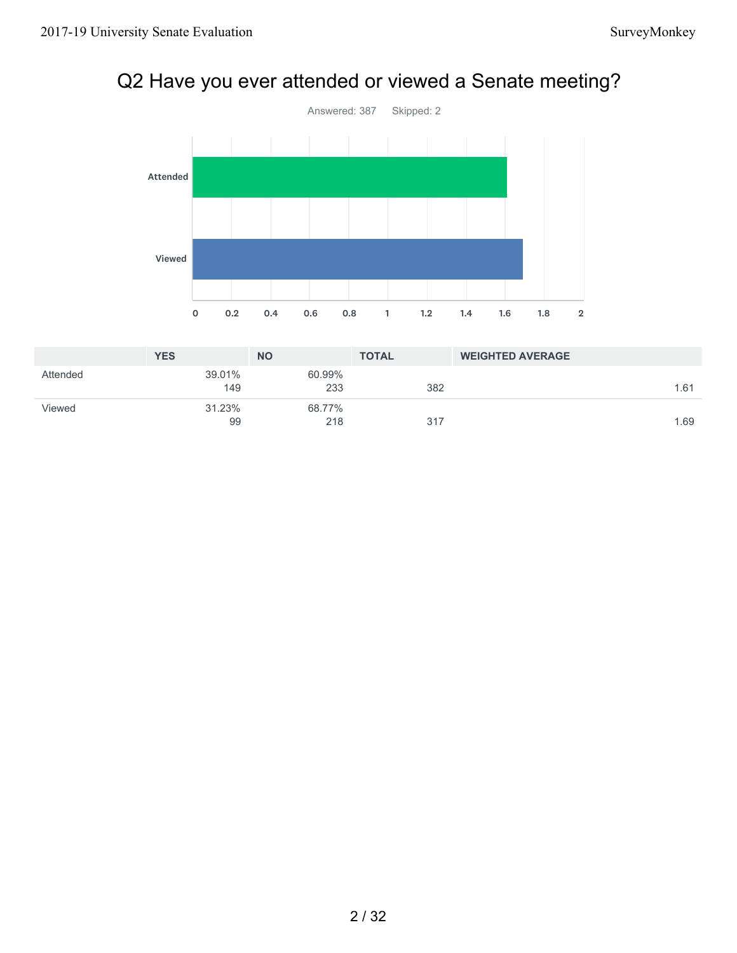# Q2 Have you ever attended or viewed a Senate meeting?



|          | <b>YES</b>    | <b>NO</b>     | <b>TOTAL</b> | <b>WEIGHTED AVERAGE</b> |
|----------|---------------|---------------|--------------|-------------------------|
| Attended | 39.01%<br>149 | 60.99%<br>233 | 382          | 1.61                    |
| Viewed   | 31.23%<br>99  | 68.77%<br>218 | 317          | 1.69                    |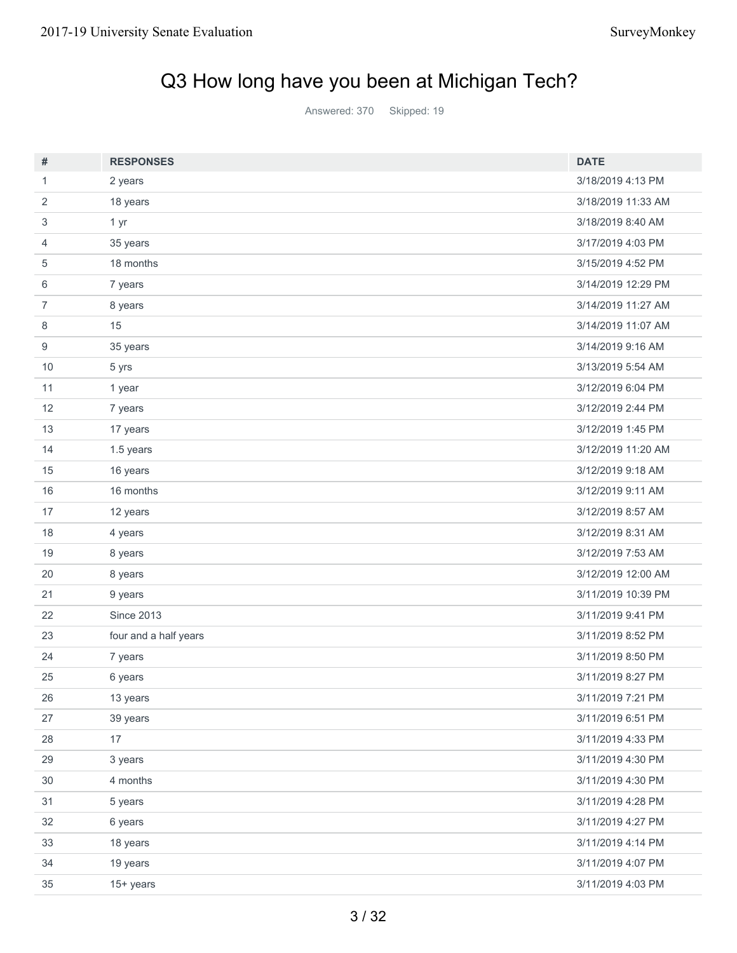# Q3 How long have you been at Michigan Tech?

Answered: 370 Skipped: 19

| #                | <b>RESPONSES</b>      | <b>DATE</b>        |
|------------------|-----------------------|--------------------|
| 1                | 2 years               | 3/18/2019 4:13 PM  |
| $\overline{2}$   | 18 years              | 3/18/2019 11:33 AM |
| 3                | 1 yr                  | 3/18/2019 8:40 AM  |
| 4                | 35 years              | 3/17/2019 4:03 PM  |
| 5                | 18 months             | 3/15/2019 4:52 PM  |
| 6                | 7 years               | 3/14/2019 12:29 PM |
| $\overline{7}$   | 8 years               | 3/14/2019 11:27 AM |
| 8                | 15                    | 3/14/2019 11:07 AM |
| $\boldsymbol{9}$ | 35 years              | 3/14/2019 9:16 AM  |
| 10               | 5 yrs                 | 3/13/2019 5:54 AM  |
| 11               | 1 year                | 3/12/2019 6:04 PM  |
| 12               | 7 years               | 3/12/2019 2:44 PM  |
| 13               | 17 years              | 3/12/2019 1:45 PM  |
| 14               | 1.5 years             | 3/12/2019 11:20 AM |
| 15               | 16 years              | 3/12/2019 9:18 AM  |
| 16               | 16 months             | 3/12/2019 9:11 AM  |
| 17               | 12 years              | 3/12/2019 8:57 AM  |
| 18               | 4 years               | 3/12/2019 8:31 AM  |
| 19               | 8 years               | 3/12/2019 7:53 AM  |
| 20               | 8 years               | 3/12/2019 12:00 AM |
| 21               | 9 years               | 3/11/2019 10:39 PM |
| 22               | <b>Since 2013</b>     | 3/11/2019 9:41 PM  |
| 23               | four and a half years | 3/11/2019 8:52 PM  |
| 24               | 7 years               | 3/11/2019 8:50 PM  |
| 25               | 6 years               | 3/11/2019 8:27 PM  |
| 26               | 13 years              | 3/11/2019 7:21 PM  |
| 27               | 39 years              | 3/11/2019 6:51 PM  |
| 28               | 17                    | 3/11/2019 4:33 PM  |
| 29               | 3 years               | 3/11/2019 4:30 PM  |
| $30\,$           | 4 months              | 3/11/2019 4:30 PM  |
| 31               | 5 years               | 3/11/2019 4:28 PM  |
| 32               | 6 years               | 3/11/2019 4:27 PM  |
| 33               | 18 years              | 3/11/2019 4:14 PM  |
| 34               | 19 years              | 3/11/2019 4:07 PM  |
| $35\,$           | 15+ years             | 3/11/2019 4:03 PM  |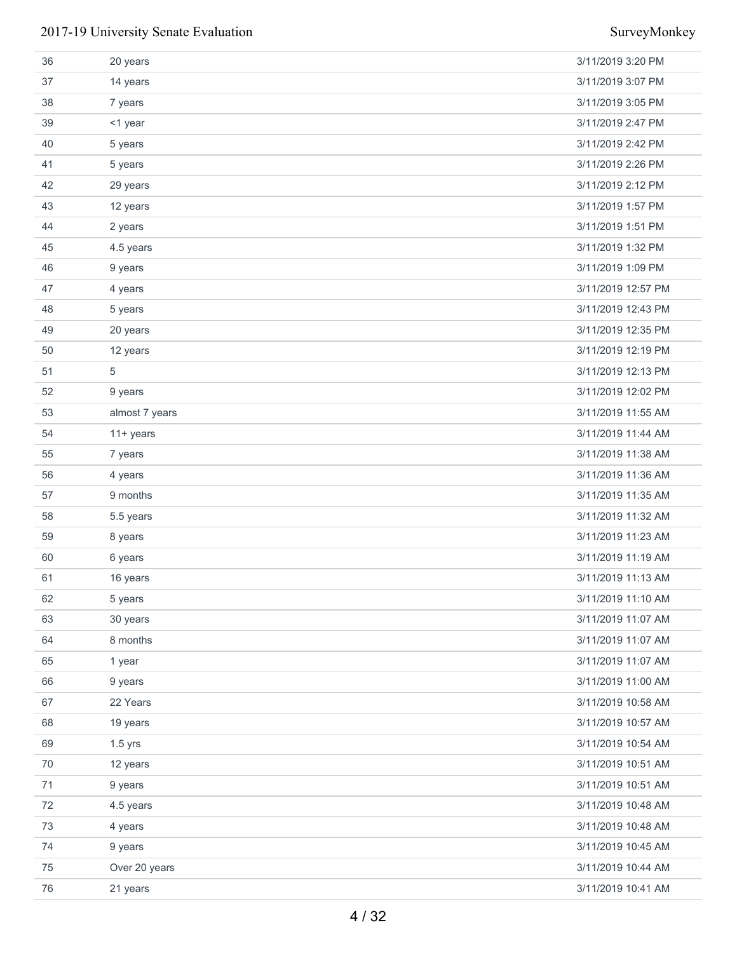| 36     | 20 years       | 3/11/2019 3:20 PM  |
|--------|----------------|--------------------|
| 37     | 14 years       | 3/11/2019 3:07 PM  |
| 38     | 7 years        | 3/11/2019 3:05 PM  |
| 39     | <1 year        | 3/11/2019 2:47 PM  |
| 40     | 5 years        | 3/11/2019 2:42 PM  |
| 41     | 5 years        | 3/11/2019 2:26 PM  |
| 42     | 29 years       | 3/11/2019 2:12 PM  |
| 43     | 12 years       | 3/11/2019 1:57 PM  |
| 44     | 2 years        | 3/11/2019 1:51 PM  |
| 45     | 4.5 years      | 3/11/2019 1:32 PM  |
| 46     | 9 years        | 3/11/2019 1:09 PM  |
| 47     | 4 years        | 3/11/2019 12:57 PM |
| 48     | 5 years        | 3/11/2019 12:43 PM |
| 49     | 20 years       | 3/11/2019 12:35 PM |
| 50     | 12 years       | 3/11/2019 12:19 PM |
| 51     | 5              | 3/11/2019 12:13 PM |
| 52     | 9 years        | 3/11/2019 12:02 PM |
| 53     | almost 7 years | 3/11/2019 11:55 AM |
| 54     | $11 + years$   | 3/11/2019 11:44 AM |
| 55     | 7 years        | 3/11/2019 11:38 AM |
| 56     | 4 years        | 3/11/2019 11:36 AM |
| 57     | 9 months       | 3/11/2019 11:35 AM |
| 58     | 5.5 years      | 3/11/2019 11:32 AM |
| 59     | 8 years        | 3/11/2019 11:23 AM |
| 60     | 6 years        | 3/11/2019 11:19 AM |
| 61     | 16 years       | 3/11/2019 11:13 AM |
| 62     | 5 years        | 3/11/2019 11:10 AM |
| 63     | 30 years       | 3/11/2019 11:07 AM |
| 64     | 8 months       | 3/11/2019 11:07 AM |
| 65     | 1 year         | 3/11/2019 11:07 AM |
| 66     | 9 years        | 3/11/2019 11:00 AM |
| 67     | 22 Years       | 3/11/2019 10:58 AM |
| 68     | 19 years       | 3/11/2019 10:57 AM |
| 69     | $1.5$ yrs      | 3/11/2019 10:54 AM |
| 70     | 12 years       | 3/11/2019 10:51 AM |
| 71     | 9 years        | 3/11/2019 10:51 AM |
| 72     | 4.5 years      | 3/11/2019 10:48 AM |
| 73     | 4 years        | 3/11/2019 10:48 AM |
| 74     | 9 years        | 3/11/2019 10:45 AM |
| 75     | Over 20 years  | 3/11/2019 10:44 AM |
| $76\,$ | 21 years       | 3/11/2019 10:41 AM |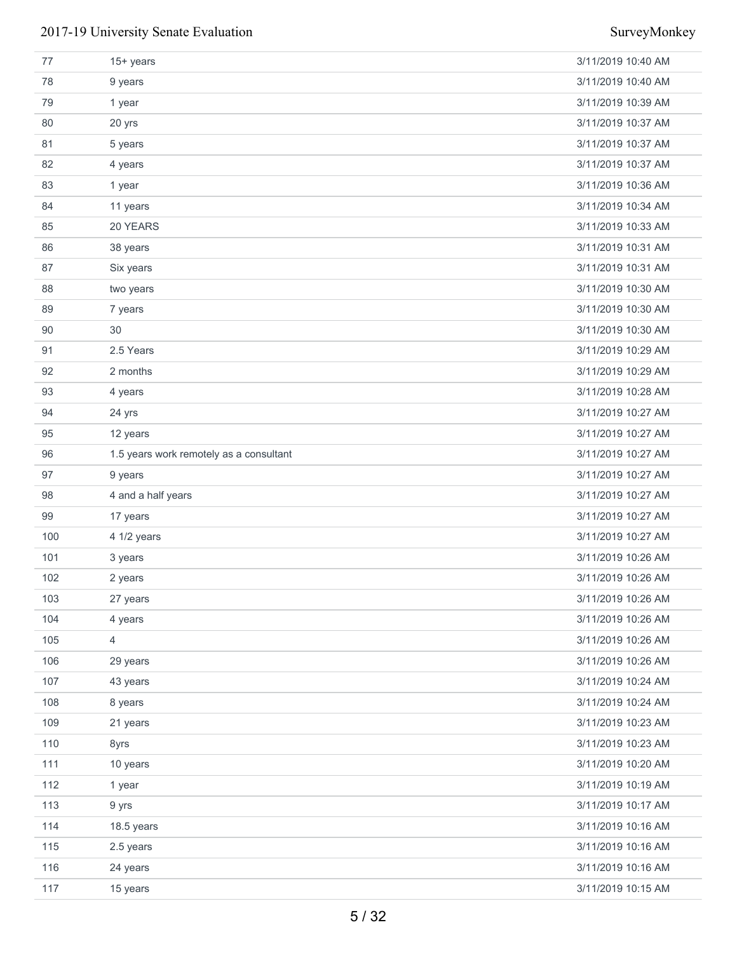| 77  | $15+$ years                             | 3/11/2019 10:40 AM |
|-----|-----------------------------------------|--------------------|
| 78  | 9 years                                 | 3/11/2019 10:40 AM |
| 79  | 1 year                                  | 3/11/2019 10:39 AM |
| 80  | 20 yrs                                  | 3/11/2019 10:37 AM |
| 81  | 5 years                                 | 3/11/2019 10:37 AM |
| 82  | 4 years                                 | 3/11/2019 10:37 AM |
| 83  | 1 year                                  | 3/11/2019 10:36 AM |
| 84  | 11 years                                | 3/11/2019 10:34 AM |
| 85  | 20 YEARS                                | 3/11/2019 10:33 AM |
| 86  | 38 years                                | 3/11/2019 10:31 AM |
| 87  | Six years                               | 3/11/2019 10:31 AM |
| 88  | two years                               | 3/11/2019 10:30 AM |
| 89  | 7 years                                 | 3/11/2019 10:30 AM |
| 90  | 30                                      | 3/11/2019 10:30 AM |
| 91  | 2.5 Years                               | 3/11/2019 10:29 AM |
| 92  | 2 months                                | 3/11/2019 10:29 AM |
| 93  | 4 years                                 | 3/11/2019 10:28 AM |
| 94  | 24 yrs                                  | 3/11/2019 10:27 AM |
| 95  | 12 years                                | 3/11/2019 10:27 AM |
| 96  | 1.5 years work remotely as a consultant | 3/11/2019 10:27 AM |
| 97  | 9 years                                 | 3/11/2019 10:27 AM |
| 98  | 4 and a half years                      | 3/11/2019 10:27 AM |
| 99  | 17 years                                | 3/11/2019 10:27 AM |
| 100 | 4 1/2 years                             | 3/11/2019 10:27 AM |
| 101 | 3 years                                 | 3/11/2019 10:26 AM |
| 102 | 2 years                                 | 3/11/2019 10:26 AM |
| 103 | 27 years                                | 3/11/2019 10:26 AM |
| 104 | 4 years                                 | 3/11/2019 10:26 AM |
| 105 | $\overline{4}$                          | 3/11/2019 10:26 AM |
| 106 | 29 years                                | 3/11/2019 10:26 AM |
| 107 | 43 years                                | 3/11/2019 10:24 AM |
| 108 | 8 years                                 | 3/11/2019 10:24 AM |
| 109 | 21 years                                | 3/11/2019 10:23 AM |
| 110 | 8yrs                                    | 3/11/2019 10:23 AM |
| 111 | 10 years                                | 3/11/2019 10:20 AM |
| 112 | 1 year                                  | 3/11/2019 10:19 AM |
| 113 | 9 yrs                                   | 3/11/2019 10:17 AM |
| 114 | 18.5 years                              | 3/11/2019 10:16 AM |
| 115 | 2.5 years                               | 3/11/2019 10:16 AM |
| 116 | 24 years                                | 3/11/2019 10:16 AM |
| 117 | 15 years                                | 3/11/2019 10:15 AM |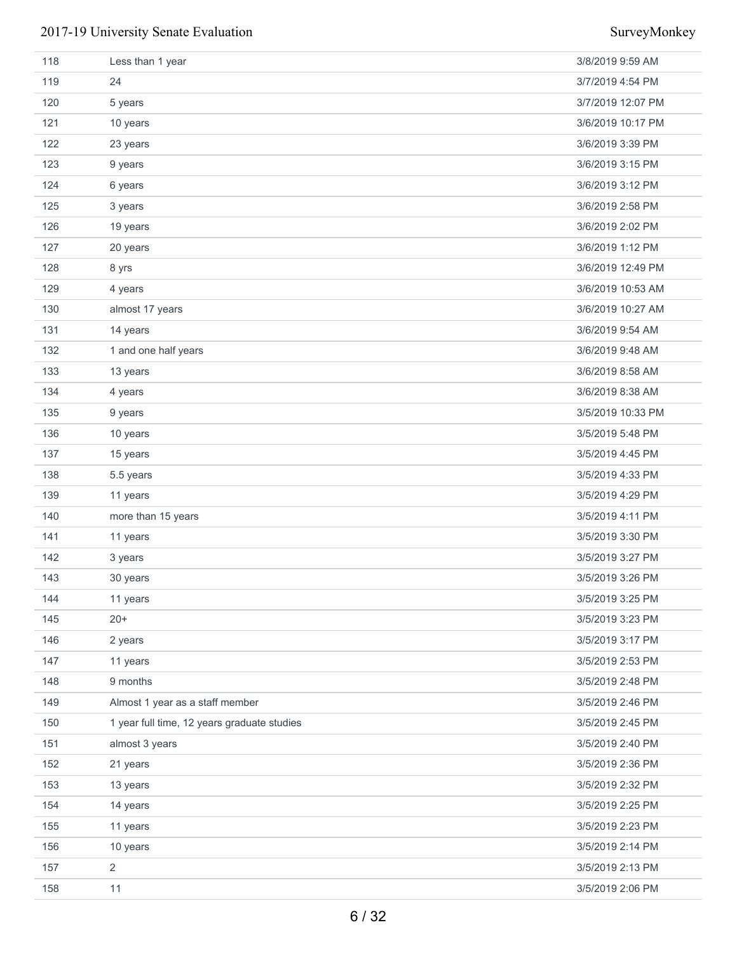| 118 | Less than 1 year                            | 3/8/2019 9:59 AM  |
|-----|---------------------------------------------|-------------------|
| 119 | 24                                          | 3/7/2019 4:54 PM  |
| 120 | 5 years                                     | 3/7/2019 12:07 PM |
| 121 | 10 years                                    | 3/6/2019 10:17 PM |
| 122 | 23 years                                    | 3/6/2019 3:39 PM  |
| 123 | 9 years                                     | 3/6/2019 3:15 PM  |
| 124 | 6 years                                     | 3/6/2019 3:12 PM  |
| 125 | 3 years                                     | 3/6/2019 2:58 PM  |
| 126 | 19 years                                    | 3/6/2019 2:02 PM  |
| 127 | 20 years                                    | 3/6/2019 1:12 PM  |
| 128 | 8 yrs                                       | 3/6/2019 12:49 PM |
| 129 | 4 years                                     | 3/6/2019 10:53 AM |
| 130 | almost 17 years                             | 3/6/2019 10:27 AM |
| 131 | 14 years                                    | 3/6/2019 9:54 AM  |
| 132 | 1 and one half years                        | 3/6/2019 9:48 AM  |
| 133 | 13 years                                    | 3/6/2019 8:58 AM  |
| 134 | 4 years                                     | 3/6/2019 8:38 AM  |
| 135 | 9 years                                     | 3/5/2019 10:33 PM |
| 136 | 10 years                                    | 3/5/2019 5:48 PM  |
| 137 | 15 years                                    | 3/5/2019 4:45 PM  |
| 138 | 5.5 years                                   | 3/5/2019 4:33 PM  |
| 139 | 11 years                                    | 3/5/2019 4:29 PM  |
| 140 | more than 15 years                          | 3/5/2019 4:11 PM  |
| 141 | 11 years                                    | 3/5/2019 3:30 PM  |
| 142 | 3 years                                     | 3/5/2019 3:27 PM  |
| 143 | 30 years                                    | 3/5/2019 3:26 PM  |
| 144 | 11 years                                    | 3/5/2019 3:25 PM  |
| 145 | $20+$                                       | 3/5/2019 3:23 PM  |
| 146 | 2 years                                     | 3/5/2019 3:17 PM  |
| 147 | 11 years                                    | 3/5/2019 2:53 PM  |
| 148 | 9 months                                    | 3/5/2019 2:48 PM  |
| 149 | Almost 1 year as a staff member             | 3/5/2019 2:46 PM  |
| 150 | 1 year full time, 12 years graduate studies | 3/5/2019 2:45 PM  |
| 151 | almost 3 years                              | 3/5/2019 2:40 PM  |
| 152 | 21 years                                    | 3/5/2019 2:36 PM  |
| 153 | 13 years                                    | 3/5/2019 2:32 PM  |
| 154 | 14 years                                    | 3/5/2019 2:25 PM  |
| 155 | 11 years                                    | 3/5/2019 2:23 PM  |
| 156 | 10 years                                    | 3/5/2019 2:14 PM  |
| 157 | 2                                           | 3/5/2019 2:13 PM  |
| 158 | 11                                          | 3/5/2019 2:06 PM  |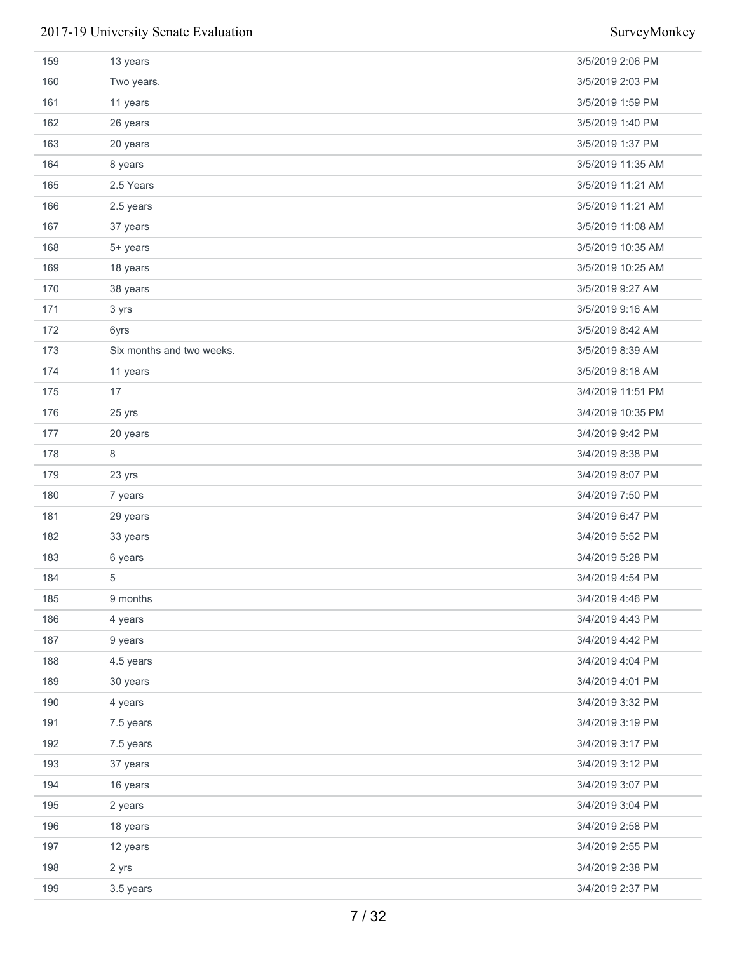| 159 | 13 years                  | 3/5/2019 2:06 PM  |
|-----|---------------------------|-------------------|
| 160 | Two years.                | 3/5/2019 2:03 PM  |
| 161 | 11 years                  | 3/5/2019 1:59 PM  |
| 162 | 26 years                  | 3/5/2019 1:40 PM  |
| 163 | 20 years                  | 3/5/2019 1:37 PM  |
| 164 | 8 years                   | 3/5/2019 11:35 AM |
| 165 | 2.5 Years                 | 3/5/2019 11:21 AM |
| 166 | 2.5 years                 | 3/5/2019 11:21 AM |
| 167 | 37 years                  | 3/5/2019 11:08 AM |
| 168 | 5+ years                  | 3/5/2019 10:35 AM |
| 169 | 18 years                  | 3/5/2019 10:25 AM |
| 170 | 38 years                  | 3/5/2019 9:27 AM  |
| 171 | 3 yrs                     | 3/5/2019 9:16 AM  |
| 172 | 6yrs                      | 3/5/2019 8:42 AM  |
| 173 | Six months and two weeks. | 3/5/2019 8:39 AM  |
| 174 | 11 years                  | 3/5/2019 8:18 AM  |
| 175 | 17                        | 3/4/2019 11:51 PM |
| 176 | 25 yrs                    | 3/4/2019 10:35 PM |
| 177 | 20 years                  | 3/4/2019 9:42 PM  |
| 178 | 8                         | 3/4/2019 8:38 PM  |
| 179 | 23 yrs                    | 3/4/2019 8:07 PM  |
| 180 | 7 years                   | 3/4/2019 7:50 PM  |
| 181 | 29 years                  | 3/4/2019 6:47 PM  |
| 182 | 33 years                  | 3/4/2019 5:52 PM  |
| 183 | 6 years                   | 3/4/2019 5:28 PM  |
| 184 | 5                         | 3/4/2019 4:54 PM  |
| 185 | 9 months                  | 3/4/2019 4:46 PM  |
| 186 | 4 years                   | 3/4/2019 4:43 PM  |
| 187 | 9 years                   | 3/4/2019 4:42 PM  |
| 188 | 4.5 years                 | 3/4/2019 4:04 PM  |
| 189 | 30 years                  | 3/4/2019 4:01 PM  |
| 190 | 4 years                   | 3/4/2019 3:32 PM  |
| 191 | 7.5 years                 | 3/4/2019 3:19 PM  |
| 192 | 7.5 years                 | 3/4/2019 3:17 PM  |
| 193 | 37 years                  | 3/4/2019 3:12 PM  |
| 194 | 16 years                  | 3/4/2019 3:07 PM  |
| 195 | 2 years                   | 3/4/2019 3:04 PM  |
| 196 | 18 years                  | 3/4/2019 2:58 PM  |
| 197 | 12 years                  | 3/4/2019 2:55 PM  |
| 198 | 2 yrs                     | 3/4/2019 2:38 PM  |
| 199 | 3.5 years                 | 3/4/2019 2:37 PM  |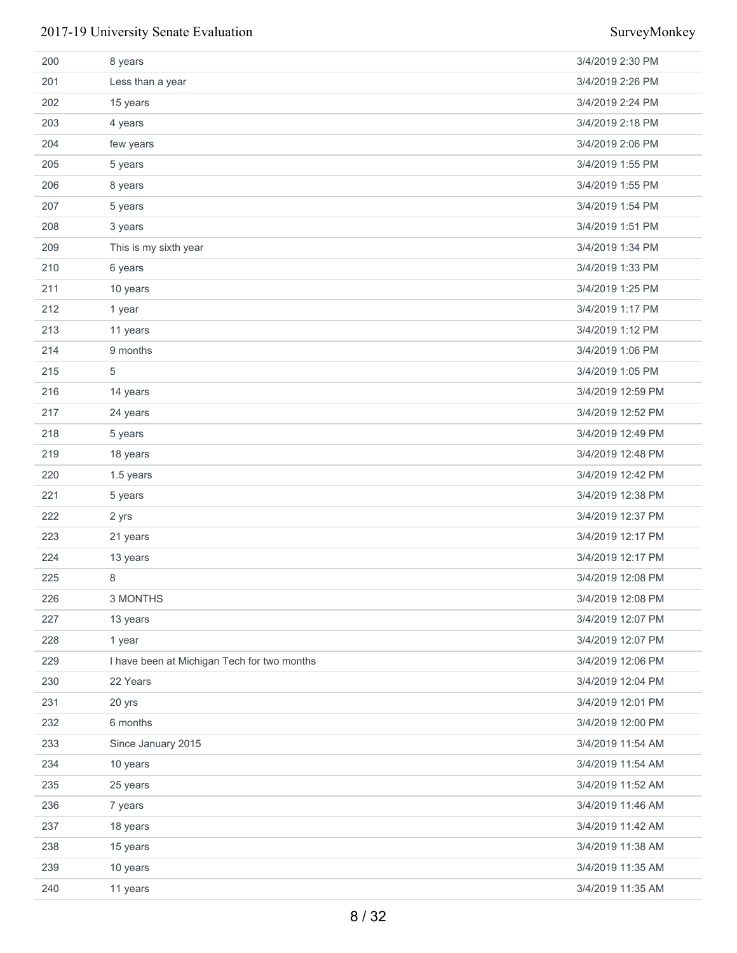| 200 | 8 years                                     | 3/4/2019 2:30 PM  |
|-----|---------------------------------------------|-------------------|
| 201 | Less than a year                            | 3/4/2019 2:26 PM  |
| 202 | 15 years                                    | 3/4/2019 2:24 PM  |
| 203 | 4 years                                     | 3/4/2019 2:18 PM  |
| 204 | few years                                   | 3/4/2019 2:06 PM  |
| 205 | 5 years                                     | 3/4/2019 1:55 PM  |
| 206 | 8 years                                     | 3/4/2019 1:55 PM  |
| 207 | 5 years                                     | 3/4/2019 1:54 PM  |
| 208 | 3 years                                     | 3/4/2019 1:51 PM  |
| 209 | This is my sixth year                       | 3/4/2019 1:34 PM  |
| 210 | 6 years                                     | 3/4/2019 1:33 PM  |
| 211 | 10 years                                    | 3/4/2019 1:25 PM  |
| 212 | 1 year                                      | 3/4/2019 1:17 PM  |
| 213 | 11 years                                    | 3/4/2019 1:12 PM  |
| 214 | 9 months                                    | 3/4/2019 1:06 PM  |
| 215 | 5                                           | 3/4/2019 1:05 PM  |
| 216 | 14 years                                    | 3/4/2019 12:59 PM |
| 217 | 24 years                                    | 3/4/2019 12:52 PM |
| 218 | 5 years                                     | 3/4/2019 12:49 PM |
| 219 | 18 years                                    | 3/4/2019 12:48 PM |
| 220 | 1.5 years                                   | 3/4/2019 12:42 PM |
| 221 | 5 years                                     | 3/4/2019 12:38 PM |
| 222 | 2 yrs                                       | 3/4/2019 12:37 PM |
| 223 | 21 years                                    | 3/4/2019 12:17 PM |
| 224 | 13 years                                    | 3/4/2019 12:17 PM |
| 225 | 8                                           | 3/4/2019 12:08 PM |
| 226 | 3 MONTHS                                    | 3/4/2019 12:08 PM |
| 227 | 13 years                                    | 3/4/2019 12:07 PM |
| 228 | 1 year                                      | 3/4/2019 12:07 PM |
| 229 | I have been at Michigan Tech for two months | 3/4/2019 12:06 PM |
| 230 | 22 Years                                    | 3/4/2019 12:04 PM |
| 231 | 20 yrs                                      | 3/4/2019 12:01 PM |
| 232 | 6 months                                    | 3/4/2019 12:00 PM |
| 233 | Since January 2015                          | 3/4/2019 11:54 AM |
| 234 | 10 years                                    | 3/4/2019 11:54 AM |
| 235 | 25 years                                    | 3/4/2019 11:52 AM |
| 236 | 7 years                                     | 3/4/2019 11:46 AM |
| 237 | 18 years                                    | 3/4/2019 11:42 AM |
| 238 | 15 years                                    | 3/4/2019 11:38 AM |
| 239 | 10 years                                    | 3/4/2019 11:35 AM |
| 240 | 11 years                                    | 3/4/2019 11:35 AM |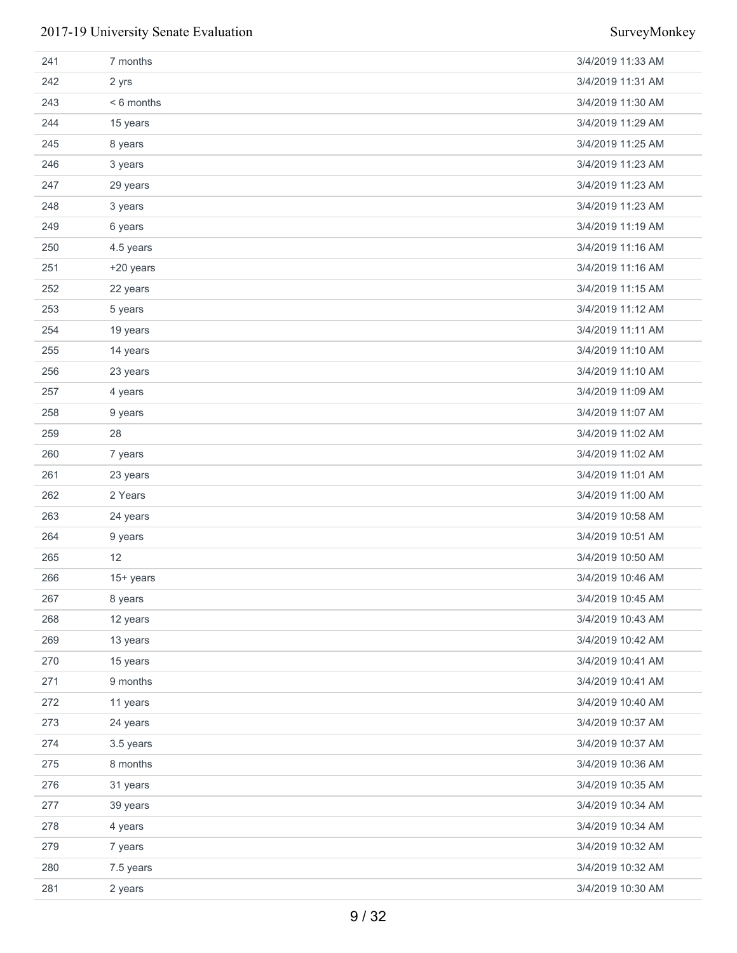| 241 | 7 months  | 3/4/2019 11:33 AM |
|-----|-----------|-------------------|
| 242 | 2 yrs     | 3/4/2019 11:31 AM |
| 243 | <6 months | 3/4/2019 11:30 AM |
| 244 | 15 years  | 3/4/2019 11:29 AM |
| 245 | 8 years   | 3/4/2019 11:25 AM |
| 246 | 3 years   | 3/4/2019 11:23 AM |
| 247 | 29 years  | 3/4/2019 11:23 AM |
| 248 | 3 years   | 3/4/2019 11:23 AM |
| 249 | 6 years   | 3/4/2019 11:19 AM |
| 250 | 4.5 years | 3/4/2019 11:16 AM |
| 251 | +20 years | 3/4/2019 11:16 AM |
| 252 | 22 years  | 3/4/2019 11:15 AM |
| 253 | 5 years   | 3/4/2019 11:12 AM |
| 254 | 19 years  | 3/4/2019 11:11 AM |
| 255 | 14 years  | 3/4/2019 11:10 AM |
| 256 | 23 years  | 3/4/2019 11:10 AM |
| 257 | 4 years   | 3/4/2019 11:09 AM |
| 258 | 9 years   | 3/4/2019 11:07 AM |
| 259 | 28        | 3/4/2019 11:02 AM |
| 260 | 7 years   | 3/4/2019 11:02 AM |
| 261 | 23 years  | 3/4/2019 11:01 AM |
| 262 | 2 Years   | 3/4/2019 11:00 AM |
| 263 | 24 years  | 3/4/2019 10:58 AM |
| 264 | 9 years   | 3/4/2019 10:51 AM |
| 265 | 12        | 3/4/2019 10:50 AM |
| 266 | 15+ years | 3/4/2019 10:46 AM |
| 267 | 8 years   | 3/4/2019 10:45 AM |
| 268 | 12 years  | 3/4/2019 10:43 AM |
| 269 | 13 years  | 3/4/2019 10:42 AM |
| 270 | 15 years  | 3/4/2019 10:41 AM |
| 271 | 9 months  | 3/4/2019 10:41 AM |
| 272 | 11 years  | 3/4/2019 10:40 AM |
| 273 | 24 years  | 3/4/2019 10:37 AM |
| 274 | 3.5 years | 3/4/2019 10:37 AM |
| 275 | 8 months  | 3/4/2019 10:36 AM |
| 276 | 31 years  | 3/4/2019 10:35 AM |
| 277 | 39 years  | 3/4/2019 10:34 AM |
| 278 | 4 years   | 3/4/2019 10:34 AM |
| 279 | 7 years   | 3/4/2019 10:32 AM |
| 280 | 7.5 years | 3/4/2019 10:32 AM |
| 281 | 2 years   | 3/4/2019 10:30 AM |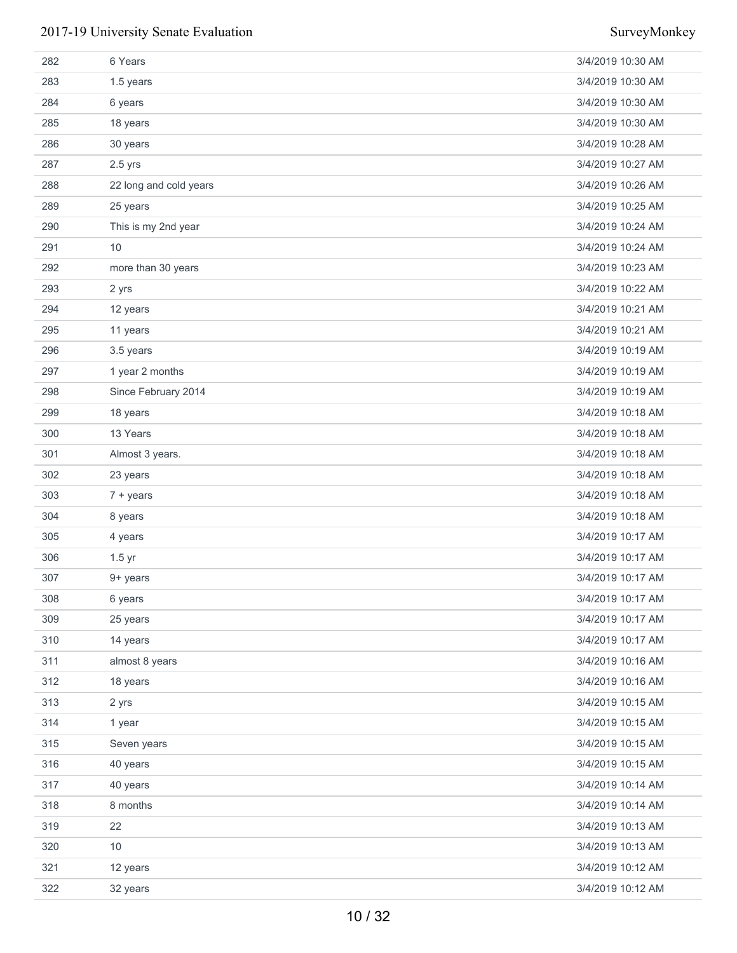| 282 | 6 Years                | 3/4/2019 10:30 AM |
|-----|------------------------|-------------------|
| 283 | 1.5 years              | 3/4/2019 10:30 AM |
| 284 | 6 years                | 3/4/2019 10:30 AM |
| 285 | 18 years               | 3/4/2019 10:30 AM |
| 286 | 30 years               | 3/4/2019 10:28 AM |
| 287 | $2.5$ yrs              | 3/4/2019 10:27 AM |
| 288 | 22 long and cold years | 3/4/2019 10:26 AM |
| 289 | 25 years               | 3/4/2019 10:25 AM |
| 290 | This is my 2nd year    | 3/4/2019 10:24 AM |
| 291 | 10                     | 3/4/2019 10:24 AM |
| 292 | more than 30 years     | 3/4/2019 10:23 AM |
| 293 | 2 yrs                  | 3/4/2019 10:22 AM |
| 294 | 12 years               | 3/4/2019 10:21 AM |
| 295 | 11 years               | 3/4/2019 10:21 AM |
| 296 | 3.5 years              | 3/4/2019 10:19 AM |
| 297 | 1 year 2 months        | 3/4/2019 10:19 AM |
| 298 | Since February 2014    | 3/4/2019 10:19 AM |
| 299 | 18 years               | 3/4/2019 10:18 AM |
| 300 | 13 Years               | 3/4/2019 10:18 AM |
| 301 | Almost 3 years.        | 3/4/2019 10:18 AM |
| 302 | 23 years               | 3/4/2019 10:18 AM |
| 303 | $7 + years$            | 3/4/2019 10:18 AM |
| 304 | 8 years                | 3/4/2019 10:18 AM |
| 305 | 4 years                | 3/4/2019 10:17 AM |
| 306 | $1.5$ yr               | 3/4/2019 10:17 AM |
| 307 | 9+ years               | 3/4/2019 10:17 AM |
| 308 | 6 years                | 3/4/2019 10:17 AM |
| 309 | 25 years               | 3/4/2019 10:17 AM |
| 310 | 14 years               | 3/4/2019 10:17 AM |
| 311 | almost 8 years         | 3/4/2019 10:16 AM |
| 312 | 18 years               | 3/4/2019 10:16 AM |
| 313 | 2 yrs                  | 3/4/2019 10:15 AM |
| 314 | 1 year                 | 3/4/2019 10:15 AM |
| 315 | Seven years            | 3/4/2019 10:15 AM |
| 316 | 40 years               | 3/4/2019 10:15 AM |
| 317 | 40 years               | 3/4/2019 10:14 AM |
| 318 | 8 months               | 3/4/2019 10:14 AM |
| 319 | 22                     | 3/4/2019 10:13 AM |
| 320 | 10                     | 3/4/2019 10:13 AM |
| 321 | 12 years               | 3/4/2019 10:12 AM |
| 322 | 32 years               | 3/4/2019 10:12 AM |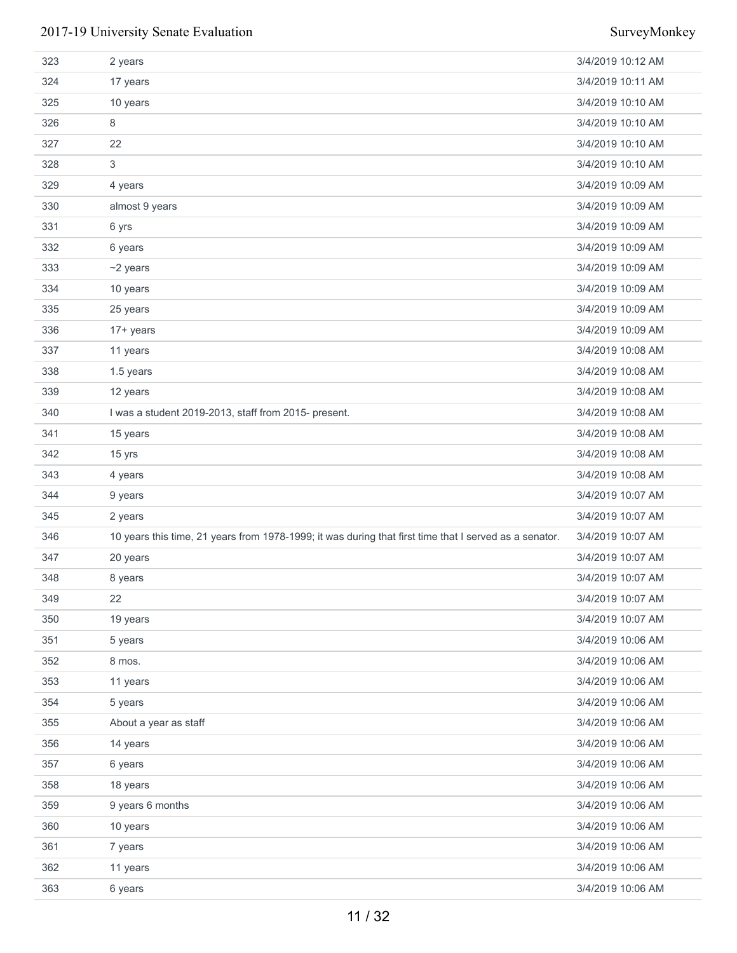| 323 | 2 years                                                                                                | 3/4/2019 10:12 AM |
|-----|--------------------------------------------------------------------------------------------------------|-------------------|
| 324 | 17 years                                                                                               | 3/4/2019 10:11 AM |
| 325 | 10 years                                                                                               | 3/4/2019 10:10 AM |
| 326 | 8                                                                                                      | 3/4/2019 10:10 AM |
| 327 | 22                                                                                                     | 3/4/2019 10:10 AM |
| 328 | 3                                                                                                      | 3/4/2019 10:10 AM |
| 329 | 4 years                                                                                                | 3/4/2019 10:09 AM |
| 330 | almost 9 years                                                                                         | 3/4/2019 10:09 AM |
| 331 | 6 yrs                                                                                                  | 3/4/2019 10:09 AM |
| 332 | 6 years                                                                                                | 3/4/2019 10:09 AM |
| 333 | $~2$ years                                                                                             | 3/4/2019 10:09 AM |
| 334 | 10 years                                                                                               | 3/4/2019 10:09 AM |
| 335 | 25 years                                                                                               | 3/4/2019 10:09 AM |
| 336 | $17 + years$                                                                                           | 3/4/2019 10:09 AM |
| 337 | 11 years                                                                                               | 3/4/2019 10:08 AM |
| 338 | 1.5 years                                                                                              | 3/4/2019 10:08 AM |
| 339 | 12 years                                                                                               | 3/4/2019 10:08 AM |
| 340 | I was a student 2019-2013, staff from 2015- present.                                                   | 3/4/2019 10:08 AM |
| 341 | 15 years                                                                                               | 3/4/2019 10:08 AM |
| 342 | 15 yrs                                                                                                 | 3/4/2019 10:08 AM |
| 343 | 4 years                                                                                                | 3/4/2019 10:08 AM |
| 344 | 9 years                                                                                                | 3/4/2019 10:07 AM |
| 345 | 2 years                                                                                                | 3/4/2019 10:07 AM |
| 346 | 10 years this time, 21 years from 1978-1999; it was during that first time that I served as a senator. | 3/4/2019 10:07 AM |
| 347 | 20 years                                                                                               | 3/4/2019 10:07 AM |
| 348 | 8 years                                                                                                | 3/4/2019 10:07 AM |
| 349 | 22                                                                                                     | 3/4/2019 10:07 AM |
| 350 | 19 years                                                                                               | 3/4/2019 10:07 AM |
| 351 | 5 years                                                                                                | 3/4/2019 10:06 AM |
| 352 | 8 mos.                                                                                                 | 3/4/2019 10:06 AM |
| 353 | 11 years                                                                                               | 3/4/2019 10:06 AM |
| 354 | 5 years                                                                                                | 3/4/2019 10:06 AM |
| 355 | About a year as staff                                                                                  | 3/4/2019 10:06 AM |
| 356 | 14 years                                                                                               | 3/4/2019 10:06 AM |
| 357 | 6 years                                                                                                | 3/4/2019 10:06 AM |
| 358 | 18 years                                                                                               | 3/4/2019 10:06 AM |
| 359 | 9 years 6 months                                                                                       | 3/4/2019 10:06 AM |
| 360 | 10 years                                                                                               | 3/4/2019 10:06 AM |
| 361 | 7 years                                                                                                | 3/4/2019 10:06 AM |
| 362 | 11 years                                                                                               | 3/4/2019 10:06 AM |
| 363 | 6 years                                                                                                | 3/4/2019 10:06 AM |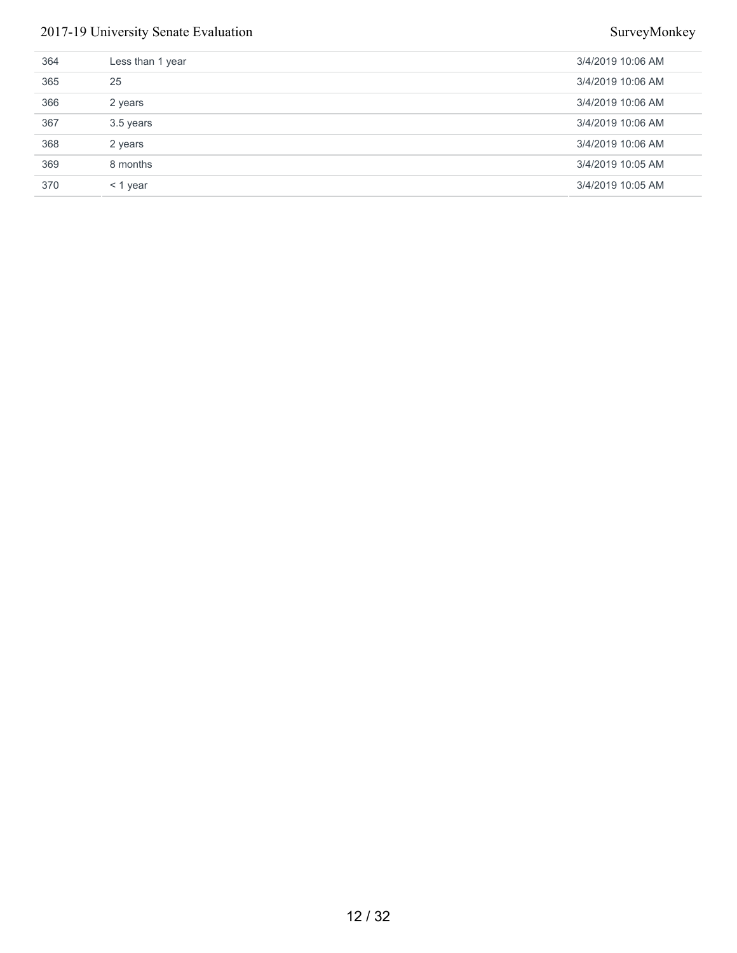| 364 | Less than 1 year | 3/4/2019 10:06 AM |
|-----|------------------|-------------------|
| 365 | 25               | 3/4/2019 10:06 AM |
| 366 | 2 years          | 3/4/2019 10:06 AM |
| 367 | 3.5 years        | 3/4/2019 10:06 AM |
| 368 | 2 years          | 3/4/2019 10:06 AM |
| 369 | 8 months         | 3/4/2019 10:05 AM |
| 370 | $<$ 1 year       | 3/4/2019 10:05 AM |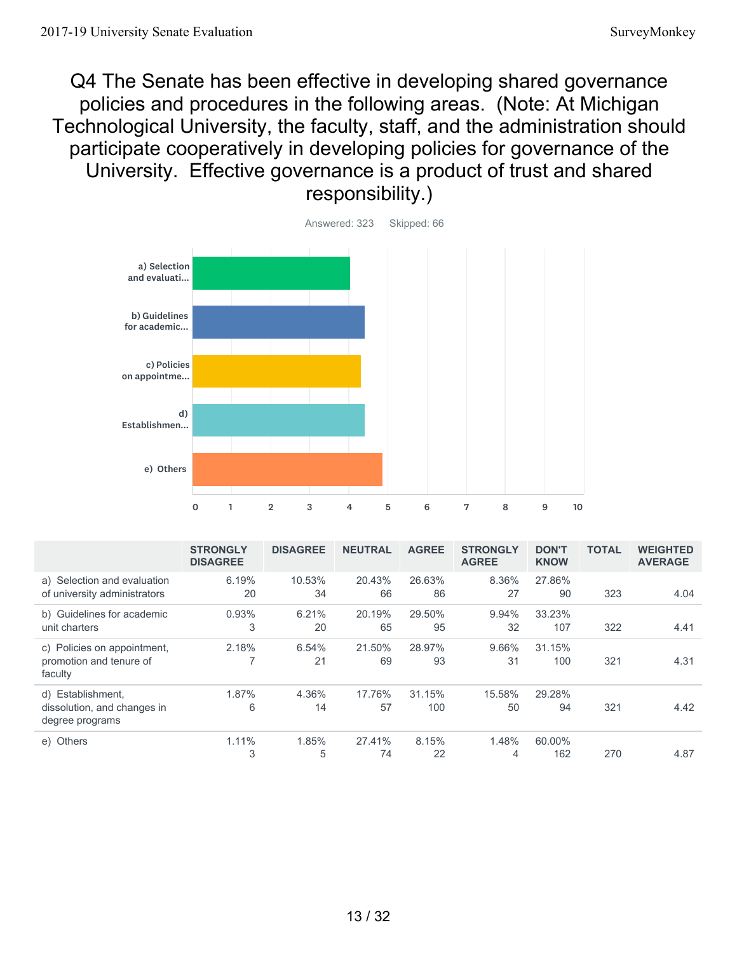Q4 The Senate has been effective in developing shared governance policies and procedures in the following areas. (Note: At Michigan Technological University, the faculty, staff, and the administration should participate cooperatively in developing policies for governance of the University. Effective governance is a product of trust and shared responsibility.)



|                                                                     | <b>STRONGLY</b><br><b>DISAGREE</b> | <b>DISAGREE</b> | <b>NEUTRAL</b> | <b>AGREE</b>  | <b>STRONGLY</b><br><b>AGREE</b> | <b>DON'T</b><br><b>KNOW</b> | <b>TOTAL</b> | <b>WEIGHTED</b><br><b>AVERAGE</b> |
|---------------------------------------------------------------------|------------------------------------|-----------------|----------------|---------------|---------------------------------|-----------------------------|--------------|-----------------------------------|
| a) Selection and evaluation<br>of university administrators         | 6.19%<br>20                        | 10.53%<br>34    | 20.43%<br>66   | 26.63%<br>86  | 8.36%<br>27                     | 27.86%<br>90                | 323          | 4.04                              |
| b) Guidelines for academic<br>unit charters                         | 0.93%<br>3                         | 6.21%<br>20     | 20.19%<br>65   | 29.50%<br>95  | 9.94%<br>32                     | 33.23%<br>107               | 322          | 4.41                              |
| c) Policies on appointment,<br>promotion and tenure of<br>faculty   | 2.18%<br>۳                         | 6.54%<br>21     | 21.50%<br>69   | 28.97%<br>93  | 9.66%<br>31                     | 31.15%<br>100               | 321          | 4.31                              |
| d) Establishment,<br>dissolution, and changes in<br>degree programs | 1.87%<br>6                         | 4.36%<br>14     | 17.76%<br>57   | 31.15%<br>100 | 15.58%<br>50                    | 29.28%<br>94                | 321          | 4.42                              |
| e) Others                                                           | 1.11%<br>3                         | 1.85%<br>5      | 27.41%<br>74   | 8.15%<br>22   | 1.48%<br>4                      | 60.00%<br>162               | 270          | 4.87                              |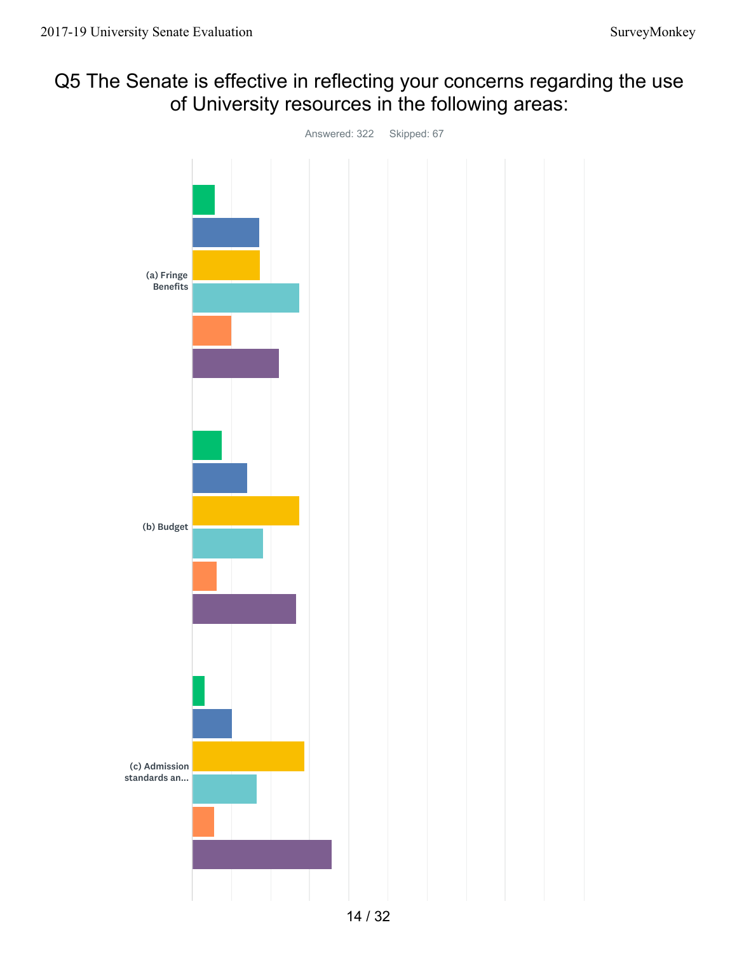## Q5 The Senate is effective in reflecting your concerns regarding the use of University resources in the following areas:

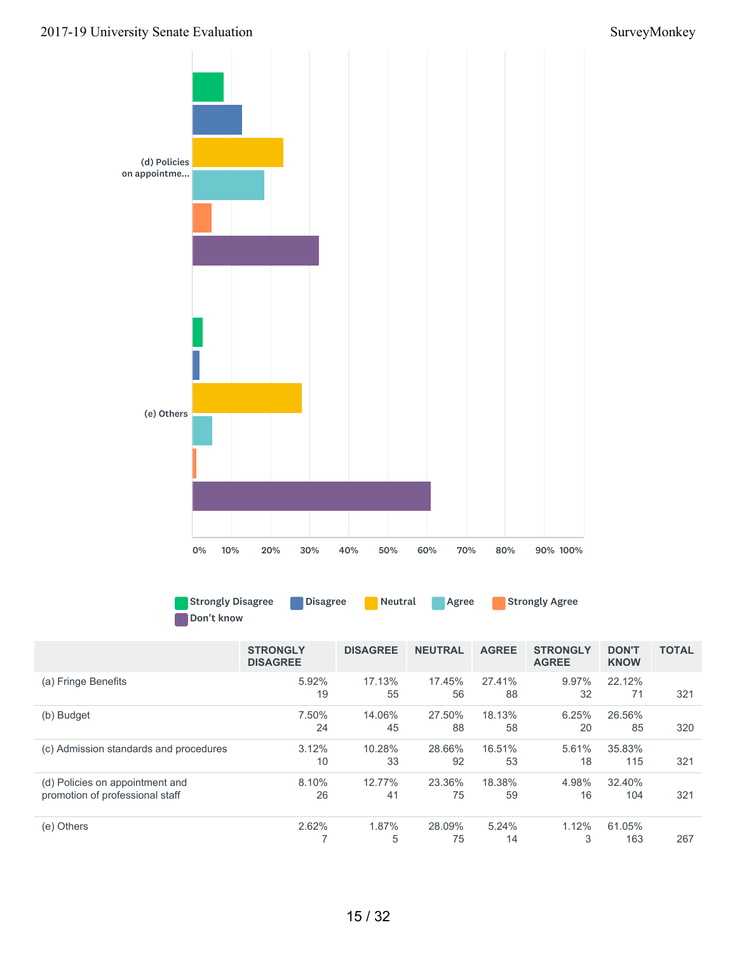

Strongly Disagree **Disagree Neutral Agree Strongly Agree** Don't know

|                                                                    | <b>STRONGLY</b><br><b>DISAGREE</b> | <b>DISAGREE</b> | <b>NEUTRAL</b> | <b>AGREE</b> | <b>STRONGLY</b><br><b>AGREE</b> | <b>DON'T</b><br><b>KNOW</b> | <b>TOTAL</b> |
|--------------------------------------------------------------------|------------------------------------|-----------------|----------------|--------------|---------------------------------|-----------------------------|--------------|
| (a) Fringe Benefits                                                | 5.92%<br>19                        | 17.13%<br>55    | 17.45%<br>56   | 27.41%<br>88 | 9.97%<br>32                     | 22.12%<br>71                | 321          |
| (b) Budget                                                         | 7.50%<br>24                        | 14.06%<br>45    | 27.50%<br>88   | 18.13%<br>58 | 6.25%<br>20                     | 26.56%<br>85                | 320          |
| (c) Admission standards and procedures                             | 3.12%<br>10                        | 10.28%<br>33    | 28.66%<br>92   | 16.51%<br>53 | 5.61%<br>18                     | 35.83%<br>115               | 321          |
| (d) Policies on appointment and<br>promotion of professional staff | 8.10%<br>26                        | 12.77%<br>41    | 23.36%<br>75   | 18.38%<br>59 | 4.98%<br>16                     | 32.40%<br>104               | 321          |
| (e) Others                                                         | 2.62%                              | 1.87%<br>5      | 28.09%<br>75   | 5.24%<br>14  | 1.12%<br>3                      | 61.05%<br>163               | 267          |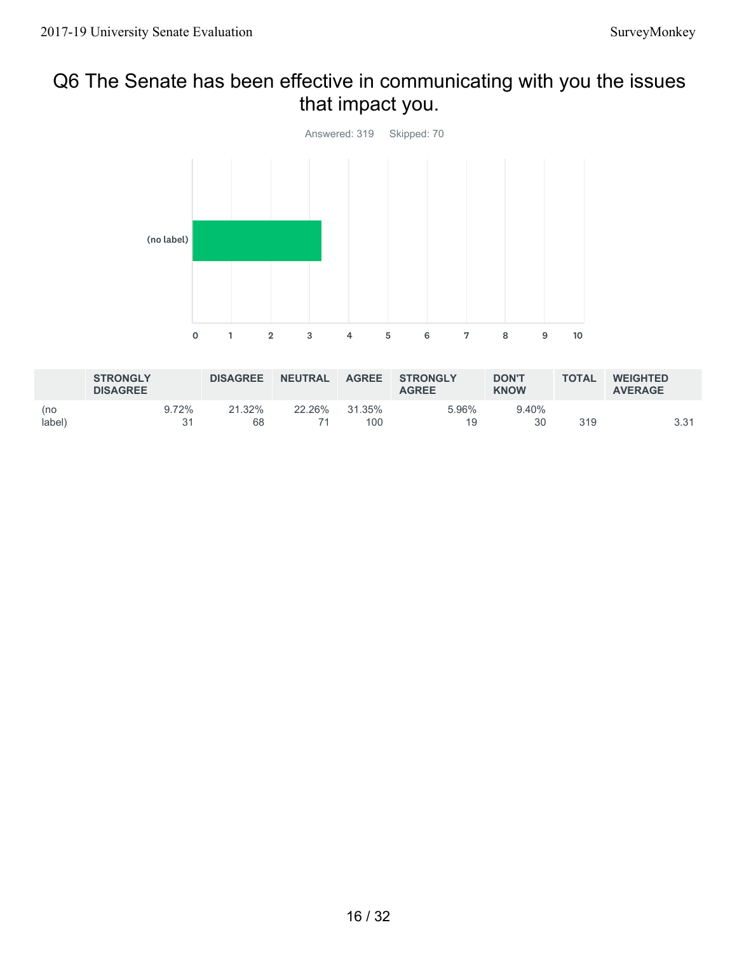## Q6 The Senate has been effective in communicating with you the issues that impact you.



|               | <b>STRONGLY</b><br><b>DISAGREE</b> |             | <b>DISAGREE</b> | <b>NEUTRAL</b> | <b>AGREE</b>  | <b>STRONGLY</b><br><b>AGREE</b> | <b>DON'T</b><br><b>KNOW</b> | <b>TOTAL</b> | <b>WEIGHTED</b><br><b>AVERAGE</b> |
|---------------|------------------------------------|-------------|-----------------|----------------|---------------|---------------------------------|-----------------------------|--------------|-----------------------------------|
| (no<br>label) |                                    | 9.72%<br>21 | 21.32%<br>68    | 22.26%         | 31.35%<br>100 | 5.96%<br>19                     | 9.40%<br>30                 | 319          | 3.31                              |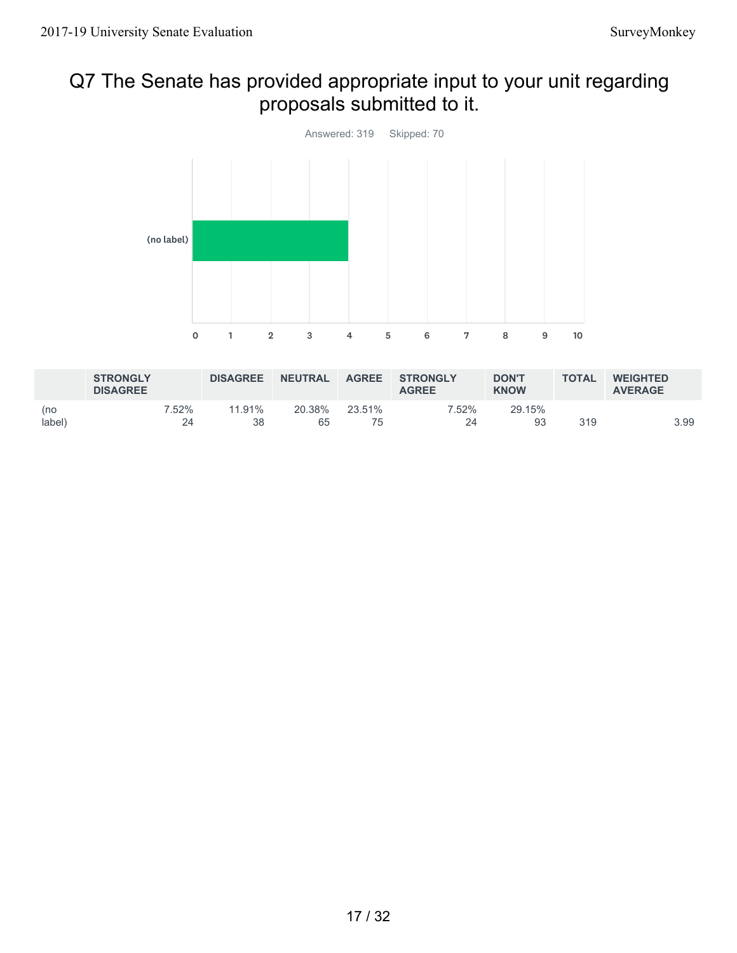## Q7 The Senate has provided appropriate input to your unit regarding proposals submitted to it.



|               | <b>STRONGLY</b><br><b>DISAGREE</b> |             | <b>DISAGREE</b> | <b>NEUTRAL</b> | <b>AGREE</b> | <b>STRONGLY</b><br><b>AGREE</b> | <b>DON'T</b><br><b>KNOW</b> | <b>TOTAL</b> | <b>WEIGHTED</b><br><b>AVERAGE</b> |
|---------------|------------------------------------|-------------|-----------------|----------------|--------------|---------------------------------|-----------------------------|--------------|-----------------------------------|
| (no<br>label) |                                    | 7.52%<br>24 | 11.91%<br>38    | 20.38%<br>65   | 23.51%       | 7.52%<br>2Δ                     | 29.15%<br>93                | 319          | 3.99                              |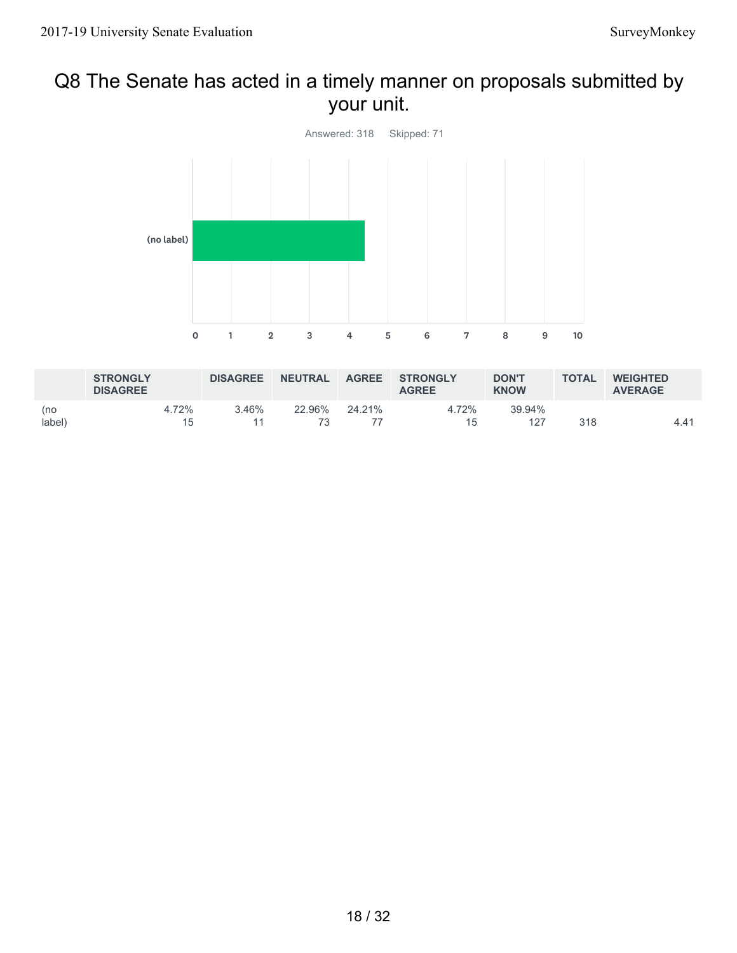## Q8 The Senate has acted in a timely manner on proposals submitted by your unit.



|               | <b>STRONGLY</b><br><b>DISAGREE</b> |             | <b>DISAGREE</b> | <b>NEUTRAL</b> | <b>AGREE</b> | <b>STRONGLY</b><br><b>AGREE</b> | <b>DON'T</b><br><b>KNOW</b> | <b>TOTAL</b> | <b>WEIGHTED</b><br><b>AVERAGE</b> |
|---------------|------------------------------------|-------------|-----------------|----------------|--------------|---------------------------------|-----------------------------|--------------|-----------------------------------|
| (no<br>label) |                                    | 4.72%<br>15 | $3.46\%$        | 22.96%         | 24.21%       | 4.72%<br>15                     | 39.94%<br>127               | 318          | 4.41                              |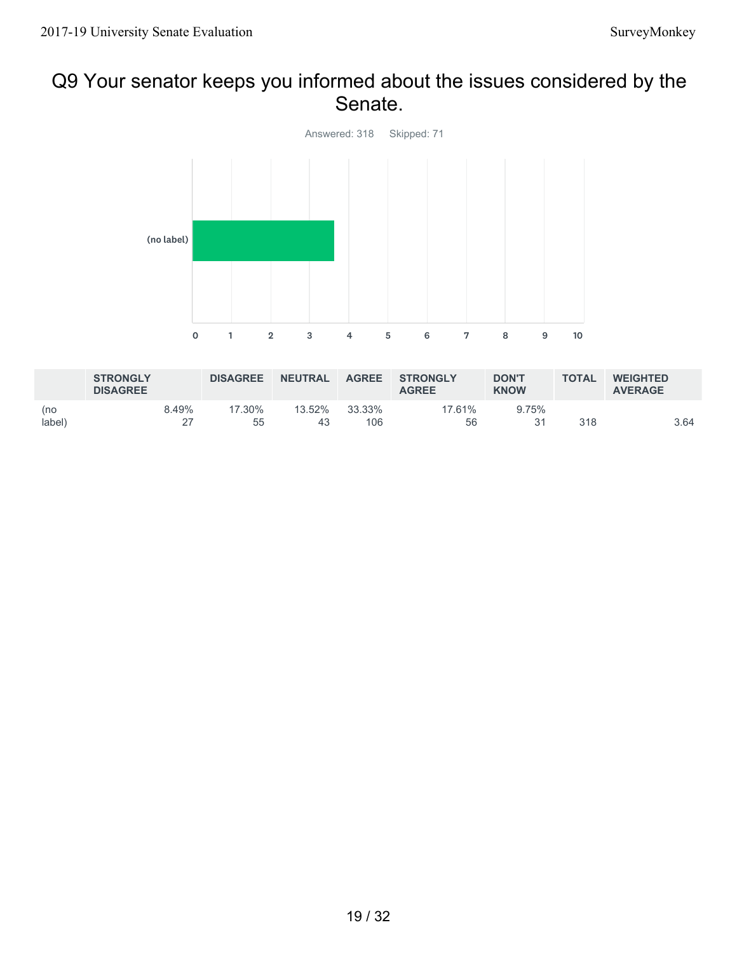### Q9 Your senator keeps you informed about the issues considered by the Senate.



|               | <b>STRONGLY</b><br><b>DISAGREE</b> |       | <b>DISAGREE</b> | <b>NEUTRAL</b> | <b>AGREE</b>  | <b>STRONGLY</b><br><b>AGREE</b> | <b>DON'T</b><br><b>KNOW</b> | <b>TOTAL</b> | <b>WEIGHTED</b><br><b>AVERAGE</b> |
|---------------|------------------------------------|-------|-----------------|----------------|---------------|---------------------------------|-----------------------------|--------------|-----------------------------------|
| (no<br>label) |                                    | 8.49% | 17.30%<br>55    | 13.52%<br>43   | 33.33%<br>106 | 17.61%<br>56                    | 9.75%                       | 318          | 3.64                              |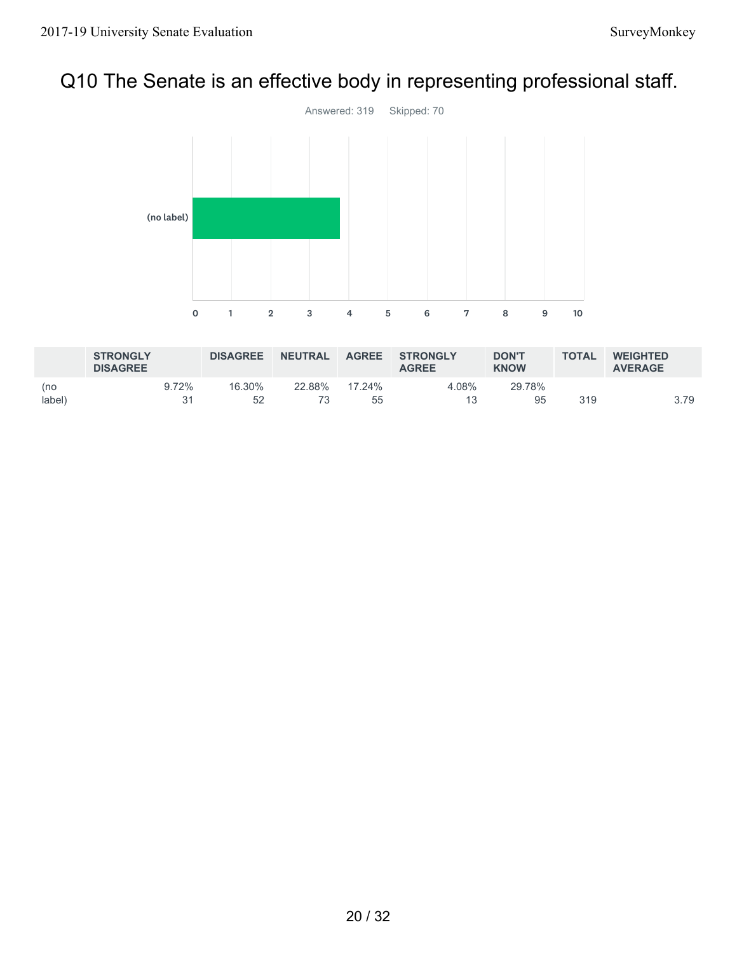# Q10 The Senate is an effective body in representing professional staff.



|               | <b>STRONGLY</b><br><b>DISAGREE</b> |       | <b>DISAGREE</b> | <b>NEUTRAL</b> | <b>AGREE</b> | <b>STRONGLY</b><br><b>AGREE</b> | <b>DON'T</b><br><b>KNOW</b> | <b>TOTAL</b> | <b>WEIGHTED</b><br><b>AVERAGE</b> |  |
|---------------|------------------------------------|-------|-----------------|----------------|--------------|---------------------------------|-----------------------------|--------------|-----------------------------------|--|
| (no<br>label) |                                    | 9.72% | 16.30%<br>52    | 22.88%         | 17.24%<br>55 | 4.08%                           | 29.78%<br>95                | 319          | 3.79                              |  |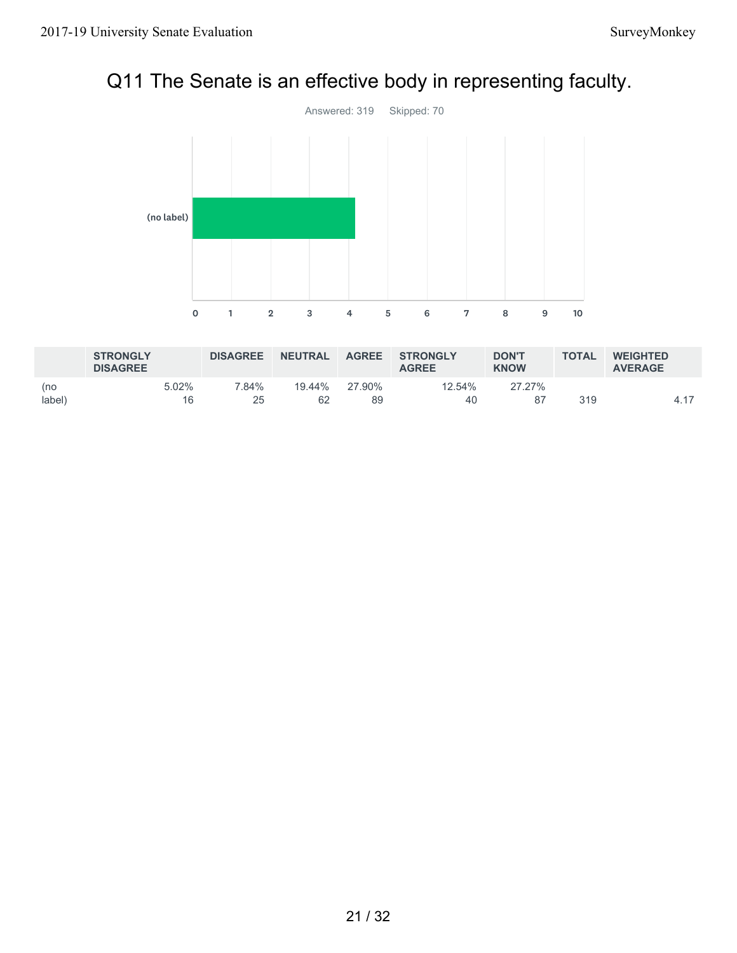# Q11 The Senate is an effective body in representing faculty.



|               | <b>STRONGLY</b><br><b>DISAGREE</b> |             | <b>DISAGREE</b> | <b>NEUTRAL</b> | <b>AGREE</b> | <b>STRONGLY</b><br><b>AGREE</b> | <b>DON'T</b><br><b>KNOW</b> | <b>TOTAL</b> | <b>WEIGHTED</b><br><b>AVERAGE</b> |
|---------------|------------------------------------|-------------|-----------------|----------------|--------------|---------------------------------|-----------------------------|--------------|-----------------------------------|
| (no<br>label) |                                    | 5.02%<br>16 | 7.84%<br>25     | 19.44%<br>62   | 27.90%<br>89 | 12.54%<br>40                    | 27.27%                      | 319          | 4 17                              |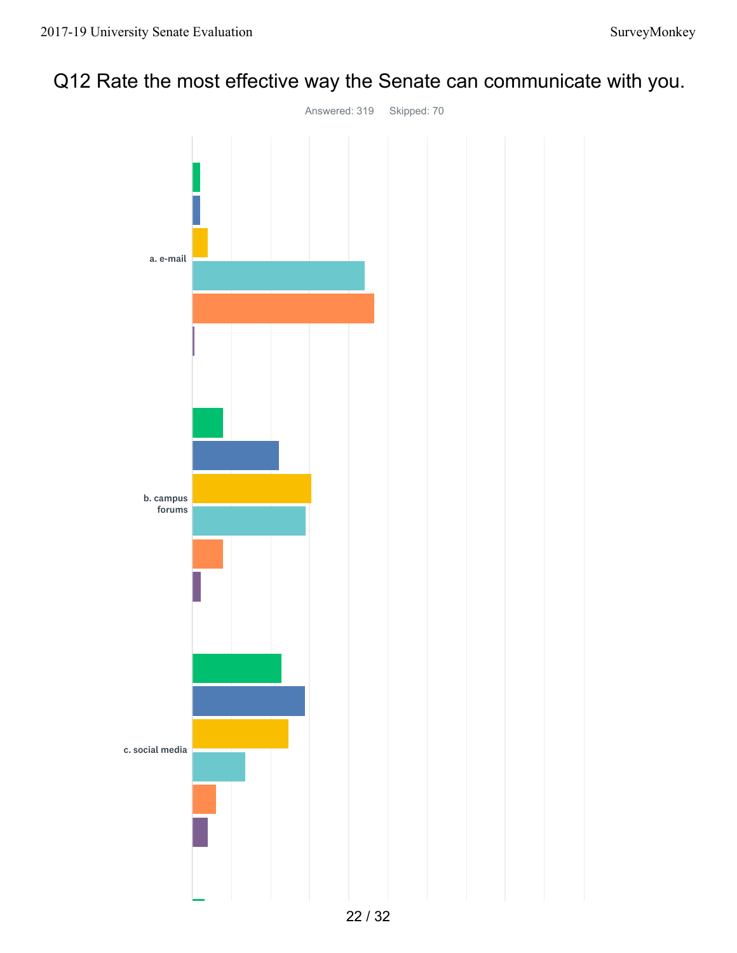## Q12 Rate the most effective way the Senate can communicate with you.

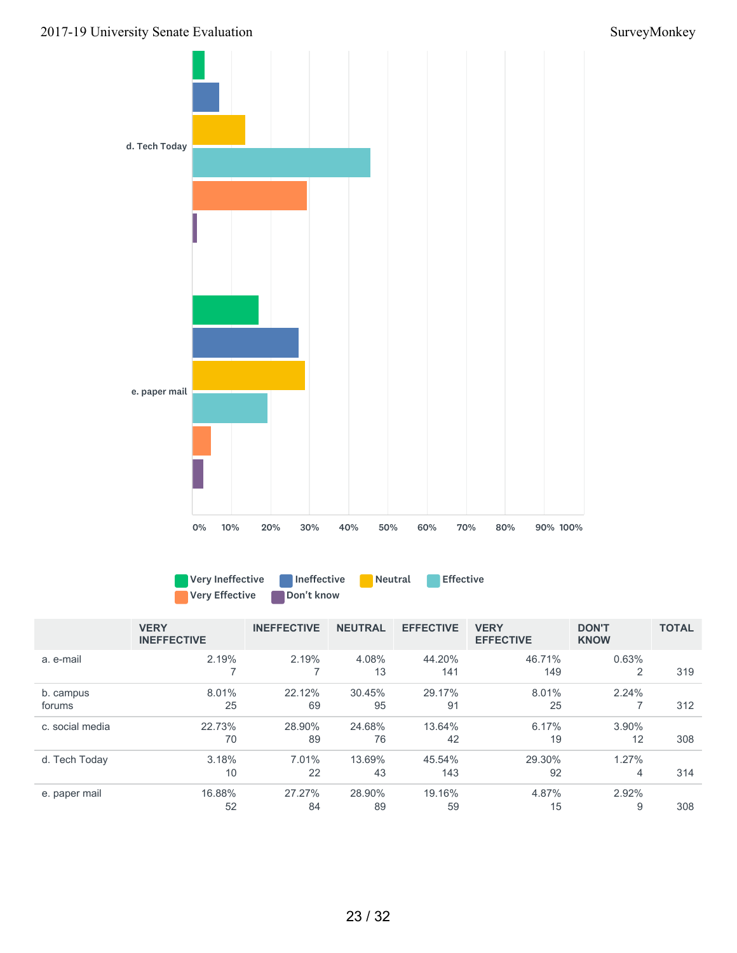



|                     | <b>VERY</b><br><b>INEFFECTIVE</b> | <b>INEFFECTIVE</b> | <b>NEUTRAL</b> | <b>EFFECTIVE</b> | <b>VERY</b><br><b>EFFECTIVE</b> | <b>DON'T</b><br><b>KNOW</b> | <b>TOTAL</b> |
|---------------------|-----------------------------------|--------------------|----------------|------------------|---------------------------------|-----------------------------|--------------|
| a. e-mail           | 2.19%                             | 2.19%              | 4.08%<br>13    | 44.20%<br>141    | 46.71%<br>149                   | 0.63%<br>2                  | 319          |
| b. campus<br>forums | 8.01%<br>25                       | 22.12%<br>69       | 30.45%<br>95   | 29.17%<br>91     | 8.01%<br>25                     | 2.24%                       | 312          |
| c. social media     | 22.73%<br>70                      | 28.90%<br>89       | 24.68%<br>76   | 13.64%<br>42     | 6.17%<br>19                     | 3.90%<br>12                 | 308          |
| d. Tech Today       | 3.18%<br>10                       | 7.01%<br>22        | 13.69%<br>43   | 45.54%<br>143    | 29.30%<br>92                    | 1.27%<br>4                  | 314          |
| e. paper mail       | 16.88%<br>52                      | 27.27%<br>84       | 28.90%<br>89   | 19.16%<br>59     | 4.87%<br>15                     | 2.92%<br>9                  | 308          |